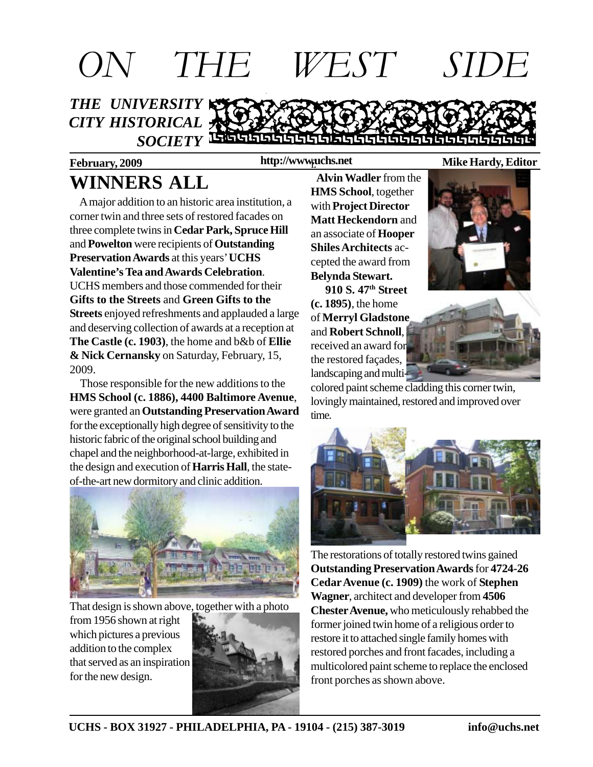

**February, 2009 Mike Hardy, Editor http://www.uchs.net** f.

# **WINNERS ALL**

 A major addition to an historic area institution, a corner twin and three sets of restored facades on three complete twins in **Cedar Park, Spruce Hill** and **Powelton** were recipients of **Outstanding Preservation Awards** at this years' **UCHS Valentine's Tea and Awards Celebration**. UCHS members and those commended for their **Gifts to the Streets** and **Green Gifts to the Streets** enjoyed refreshments and applauded a large and deserving collection of awards at a reception at **The Castle (c. 1903)**, the home and b&b of **Ellie & Nick Cernansky** on Saturday, February, 15, 2009.

 Those responsible for the new additions to the **HMS School (c. 1886), 4400 Baltimore Avenue**, were granted an **Outstanding Preservation Award** for the exceptionally high degree of sensitivity to the historic fabric of the original school building and chapel and the neighborhood-at-large, exhibited in the design and execution of **Harris Hall**, the stateof-the-art new dormitory and clinic addition.



That design is shown above, together with a photo

from 1956 shown at right which pictures a previous addition to the complex that served as an inspiration for the new design.



 **Alvin Wadler** from the **HMS School**, together with **Project Director Matt Heckendorn** and an associate of **Hooper Shiles Architects** accepted the award from

**Belynda Stewart. 910 S. 47th Street (c. 1895)**, the home of **Merryl Gladstone** and **Robert Schnoll**, received an award for the restored façades, landscaping and multi-





colored paint scheme cladding this corner twin, lovingly maintained, restored and improved over time.



The restorations of totally restored twins gained **Outstanding Preservation Awards** for **4724-26 Cedar Avenue (c. 1909)** the work of **Stephen Wagner**, architect and developer from **4506 Chester Avenue,** who meticulously rehabbed the former joined twin home of a religious order to restore it to attached single family homes with restored porches and front facades, including a multicolored paint scheme to replace the enclosed front porches as shown above.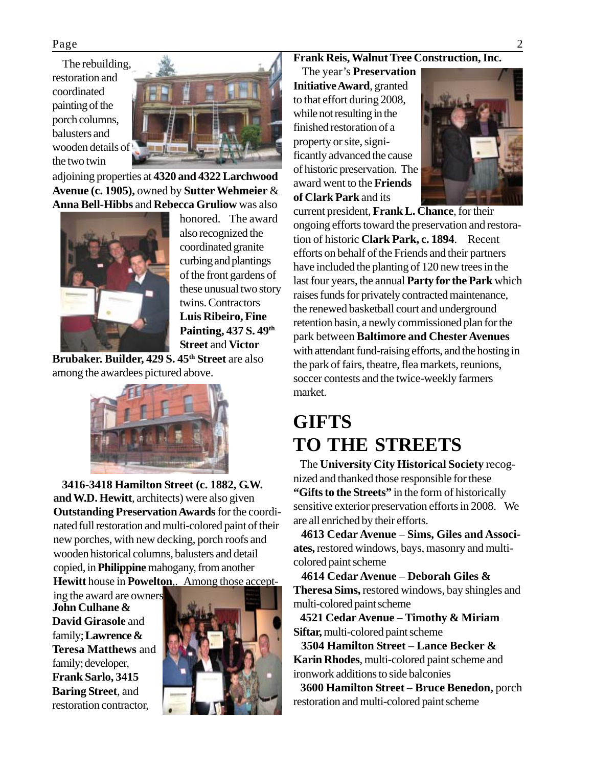The rebuilding, restoration and coordinated painting of the porch columns, balusters and wooden details of the two twin



adjoining properties at **4320 and 4322 Larchwood Avenue (c. 1905),** owned by **Sutter Wehmeier** & **Anna Bell-Hibbs** and **Rebecca Gruliow** was also



honored. The award also recognized the coordinated granite curbing and plantings of the front gardens of these unusual two story twins. Contractors **Luis Ribeiro, Fine Painting, 437 S. 49th Street** and **Victor**

**Brubaker. Builder, 429 S. 45th Street** are also among the awardees pictured above.



 **3416-3418 Hamilton Street (c. 1882, G.W. and W.D. Hewitt**, architects) were also given **Outstanding Preservation Awards** for the coordinated full restoration and multi-colored paint of their new porches, with new decking, porch roofs and wooden historical columns, balusters and detail copied, in **Philippine** mahogany, from another **Hewitt** house in **Powelton**,. Among those accept-

ing the award are owners **John Culhane & David Girasole** and family; **Lawrence & Teresa Matthews** and family; developer, **Frank Sarlo, 3415 Baring Street**, and restoration contractor,



#### **Frank Reis, Walnut Tree Construction, Inc.**

 The year's **Preservation Initiative Award**, granted to that effort during 2008, while not resulting in the finished restoration of a property or site, significantly advanced the cause of historic preservation. The award went to the **Friends of Clark Park** and its



current president, **Frank L. Chance**, for their ongoing efforts toward the preservation and restoration of historic **Clark Park, c. 1894**. Recent efforts on behalf of the Friends and their partners have included the planting of 120 new trees in the last four years, the annual **Party for the Park** which raises funds for privately contracted maintenance, the renewed basketball court and underground retention basin, a newly commissioned plan for the park between **Baltimore and Chester Avenues** with attendant fund-raising efforts, and the hosting in the park of fairs, theatre, flea markets, reunions, soccer contests and the twice-weekly farmers market.

#### **GIFTS TO THE STREETS**

The **University City Historical Society** recognized and thanked those responsible for these **"Gifts to the Streets"** in the form of historically sensitive exterior preservation efforts in 2008. We are all enriched by their efforts.

 **4613 Cedar Avenue** – **Sims, Giles and Associates,** restored windows, bays, masonry and multicolored paint scheme

 **4614 Cedar Avenue** – **Deborah Giles & Theresa Sims,** restored windows, bay shingles and multi-colored paint scheme

 **4521 Cedar Avenue** – **Timothy & Miriam Siftar,** multi-colored paint scheme

 **3504 Hamilton Street** – **Lance Becker & Karin Rhodes**, multi-colored paint scheme and ironwork additions to side balconies

 **3600 Hamilton Street** – **Bruce Benedon,** porch restoration and multi-colored paint scheme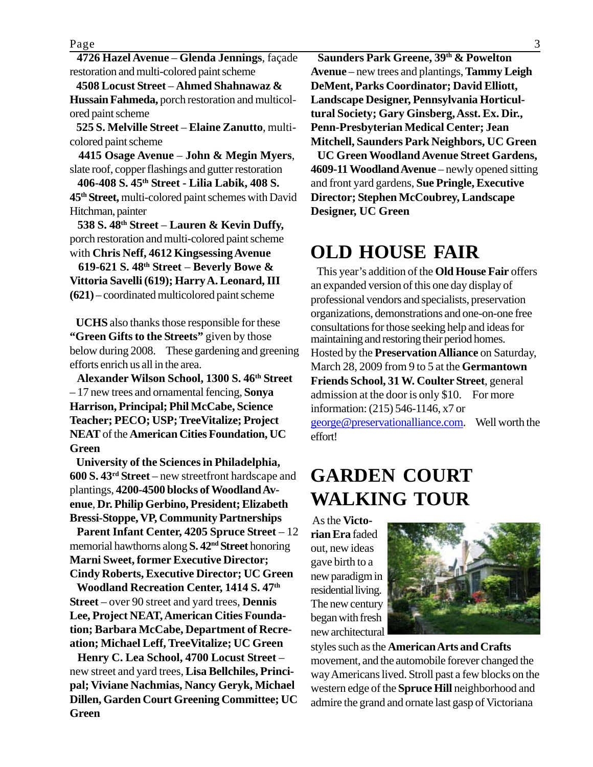Page 3

 **4726 Hazel Avenue** – **Glenda Jennings**, façade restoration and multi-colored paint scheme

 **4508 Locust Street** – **Ahmed Shahnawaz & Hussain Fahmeda,** porch restoration and multicolored paint scheme

 **525 S. Melville Street** – **Elaine Zanutto**, multicolored paint scheme

 **4415 Osage Avenue** – **John & Megin Myers**, slate roof, copper flashings and gutter restoration

 **406-408 S. 45th Street - Lilia Labik, 408 S. 45th Street,** multi-colored paint schemes with David Hitchman, painter

 **538 S. 48th Street** – **Lauren & Kevin Duffy,** porch restoration and multi-colored paint scheme with **Chris Neff, 4612 Kingsessing Avenue**

 **619-621 S. 48th Street** – **Beverly Bowe & Vittoria Savelli (619); Harry A. Leonard, III (621)** – coordinated multicolored paint scheme

 **UCHS** also thanks those responsible for these **"Green Gifts to the Streets"** given by those below during 2008. These gardening and greening efforts enrich us all in the area.

 **Alexander Wilson School, 1300 S. 46th Street** – 17 new trees and ornamental fencing, **Sonya Harrison, Principal; Phil McCabe, Science Teacher; PECO; USP; TreeVitalize; Project NEAT** of the **American Cities Foundation, UC Green**

 **University of the Sciences in Philadelphia, 600 S. 43rd Street** – new streetfront hardscape and plantings, **4200-4500 blocks of Woodland Avenue**, **Dr. Philip Gerbino, President; Elizabeth Bressi-Stoppe, VP, Community Partnerships**

 **Parent Infant Center, 4205 Spruce Street** – 12 memorial hawthorns along **S. 42nd Street** honoring **Marni Sweet, former Executive Director; Cindy Roberts, Executive Director; UC Green**

 **Woodland Recreation Center, 1414 S. 47th Street** – over 90 street and yard trees, **Dennis Lee, Project NEAT, American Cities Foundation; Barbara McCabe, Department of Recreation; Michael Leff, TreeVitalize; UC Green**

 **Henry C. Lea School, 4700 Locust Street** – new street and yard trees, **Lisa Bellchiles, Principal; Viviane Nachmias, Nancy Geryk, Michael Dillen, Garden Court Greening Committee; UC Green**

**Saunders Park Greene, 39th & Powelton Avenue** – new trees and plantings, **Tammy Leigh DeMent, Parks Coordinator; David Elliott, Landscape Designer, Pennsylvania Horticultural Society; Gary Ginsberg, Asst. Ex. Dir., Penn-Presbyterian Medical Center; Jean Mitchell, Saunders Park Neighbors, UC Green**

 **UC Green Woodland Avenue Street Gardens, 4609-11 Woodland Avenue** – newly opened sitting and front yard gardens, **Sue Pringle, Executive Director; Stephen McCoubrey, Landscape Designer, UC Green**

#### **OLD HOUSE FAIR**

 This year's addition of the **Old House Fair** offers an expanded version of this one day display of professional vendors and specialists, preservation organizations, demonstrations and one-on-one free consultations for those seeking help and ideas for maintaining and restoring their period homes. Hosted by the **Preservation Alliance** on Saturday, March 28, 2009 from 9 to 5 at the **Germantown Friends School, 31 W. Coulter Street**, general admission at the door is only \$10. For more information: (215) 546-1146, x7 or george@preservationalliance.com. Well worth the effort!

### **GARDEN COURT WALKING TOUR**

 As the **Victorian Era** faded out, new ideas gave birth to a new paradigm in residential living. The new century began with fresh new architectural



styles such as the **American Arts and Crafts** movement, and the automobile forever changed the way Americans lived. Stroll past a few blocks on the western edge of the **Spruce Hill** neighborhood and admire the grand and ornate last gasp of Victoriana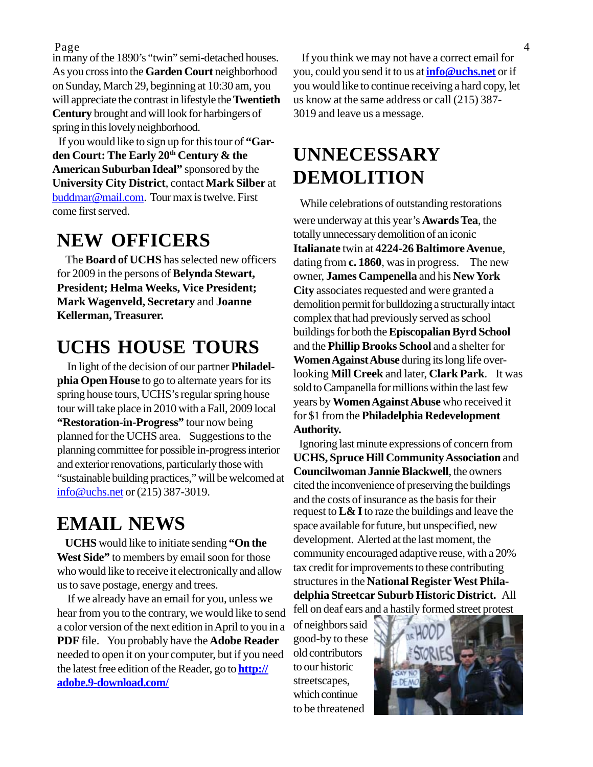in many of the 1890's "twin" semi-detached houses. As you cross into the **Garden Court** neighborhood on Sunday, March 29, beginning at 10:30 am, you will appreciate the contrast in lifestyle the **Twentieth Century** brought and will look for harbingers of spring in this lovely neighborhood.

 If you would like to sign up for this tour of **"Gar**den Court: The Early 20<sup>th</sup> Century & the **American Suburban Ideal"** sponsored by the **University City District**, contact **Mark Silber** at buddmar@mail.com. Tour max is twelve. First come first served.

#### **NEW OFFICERS**

 The **Board of UCHS** has selected new officers for 2009 in the persons of **Belynda Stewart, President; Helma Weeks, Vice President; Mark Wagenveld, Secretary** and **Joanne Kellerman, Treasurer.**

#### **UCHS HOUSE TOURS**

 In light of the decision of our partner **Philadelphia Open House** to go to alternate years for its spring house tours, UCHS's regular spring house tour will take place in 2010 with a Fall, 2009 local **"Restoration-in-Progress"** tour now being planned for the UCHS area. Suggestions to the planning committee for possible in-progress interior and exterior renovations, particularly those with "sustainable building practices," will be welcomed at info@uchs.net or (215) 387-3019.

#### **EMAIL NEWS**

 **UCHS** would like to initiate sending **"On the West Side"** to members by email soon for those who would like to receive it electronically and allow us to save postage, energy and trees.

 If we already have an email for you, unless we hear from you to the contrary, we would like to send a color version of the next edition in April to you in a **PDF** file. You probably have the **Adobe Reader** needed to open it on your computer, but if you need the latest free edition of the Reader, go to **http:// adobe.9-download.com/**

Page 4 If you think we may not have a correct email for you, could you send it to us at **info@uchs.net** or if you would like to continue receiving a hard copy, let us know at the same address or call (215) 387- 3019 and leave us a message.

#### **UNNECESSARY DEMOLITION**

While celebrations of outstanding restorations

were underway at this year's **Awards Tea**, the totally unnecessary demolition of an iconic **Italianate** twin at **4224-26 Baltimore Avenue**, dating from **c. 1860**, was in progress. The new owner, **James Campenella** and his **New York City** associates requested and were granted a demolition permit for bulldozing a structurally intact complex that had previously served as school buildings for both the **Episcopalian Byrd School** and the **Phillip Brooks School** and a shelter for **Women Against Abuse** during its long life overlooking **Mill Creek** and later, **Clark Park**. It was sold to Campanella for millions within the last few years by **Women Against Abuse** who received it for \$1 from the **Philadelphia Redevelopment Authority.**

 Ignoring last minute expressions of concern from **UCHS, Spruce Hill Community Association** and **Councilwoman Jannie Blackwell**, the owners cited the inconvenience of preserving the buildings and the costs of insurance as the basis for their request to **L& I** to raze the buildings and leave the space available for future, but unspecified, new development. Alerted at the last moment, the community encouraged adaptive reuse, with a 20% tax credit for improvements to these contributing structures in the **National Register West Philadelphia Streetcar Suburb Historic District.** All fell on deaf ears and a hastily formed street protest

of neighbors said good-by to these old contributors to our historic streetscapes, which continue to be threatened

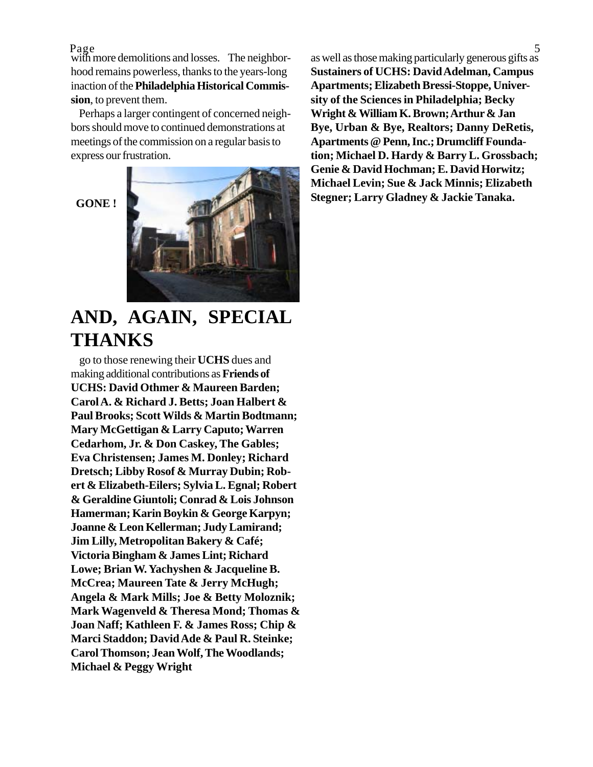Page<br>with more demolitions and losses. The neighborhood remains powerless, thanks to the years-long inaction of the **Philadelphia Historical Commission**, to prevent them.

 Perhaps a larger contingent of concerned neighbors should move to continued demonstrations at meetings of the commission on a regular basis to express our frustration.

 **GONE !**



#### **AND, AGAIN, SPECIAL THANKS**

 go to those renewing their **UCHS** dues and making additional contributions as **Friends of UCHS: David Othmer & Maureen Barden; Carol A. & Richard J. Betts; Joan Halbert & Paul Brooks; Scott Wilds & Martin Bodtmann; Mary McGettigan & Larry Caputo; Warren Cedarhom, Jr. & Don Caskey, The Gables; Eva Christensen; James M. Donley; Richard Dretsch; Libby Rosof & Murray Dubin; Robert & Elizabeth-Eilers; Sylvia L. Egnal; Robert & Geraldine Giuntoli; Conrad & Lois Johnson Hamerman; Karin Boykin & George Karpyn; Joanne & Leon Kellerman; Judy Lamirand; Jim Lilly, Metropolitan Bakery & Café; Victoria Bingham & James Lint; Richard Lowe; Brian W. Yachyshen & Jacqueline B. McCrea; Maureen Tate & Jerry McHugh; Angela & Mark Mills; Joe & Betty Moloznik; Mark Wagenveld & Theresa Mond; Thomas & Joan Naff; Kathleen F. & James Ross; Chip & Marci Staddon; David Ade & Paul R. Steinke; Carol Thomson; Jean Wolf, The Woodlands; Michael & Peggy Wright**

Page 5 as well as those making particularly generous gifts as **Sustainers of UCHS: David Adelman, Campus Apartments; Elizabeth Bressi-Stoppe, University of the Sciences in Philadelphia; Becky Wright & William K. Brown; Arthur & Jan Bye, Urban & Bye, Realtors; Danny DeRetis, Apartments @ Penn, Inc.; Drumcliff Foundation; Michael D. Hardy & Barry L. Grossbach; Genie & David Hochman; E. David Horwitz; Michael Levin; Sue & Jack Minnis; Elizabeth Stegner; Larry Gladney & Jackie Tanaka.**